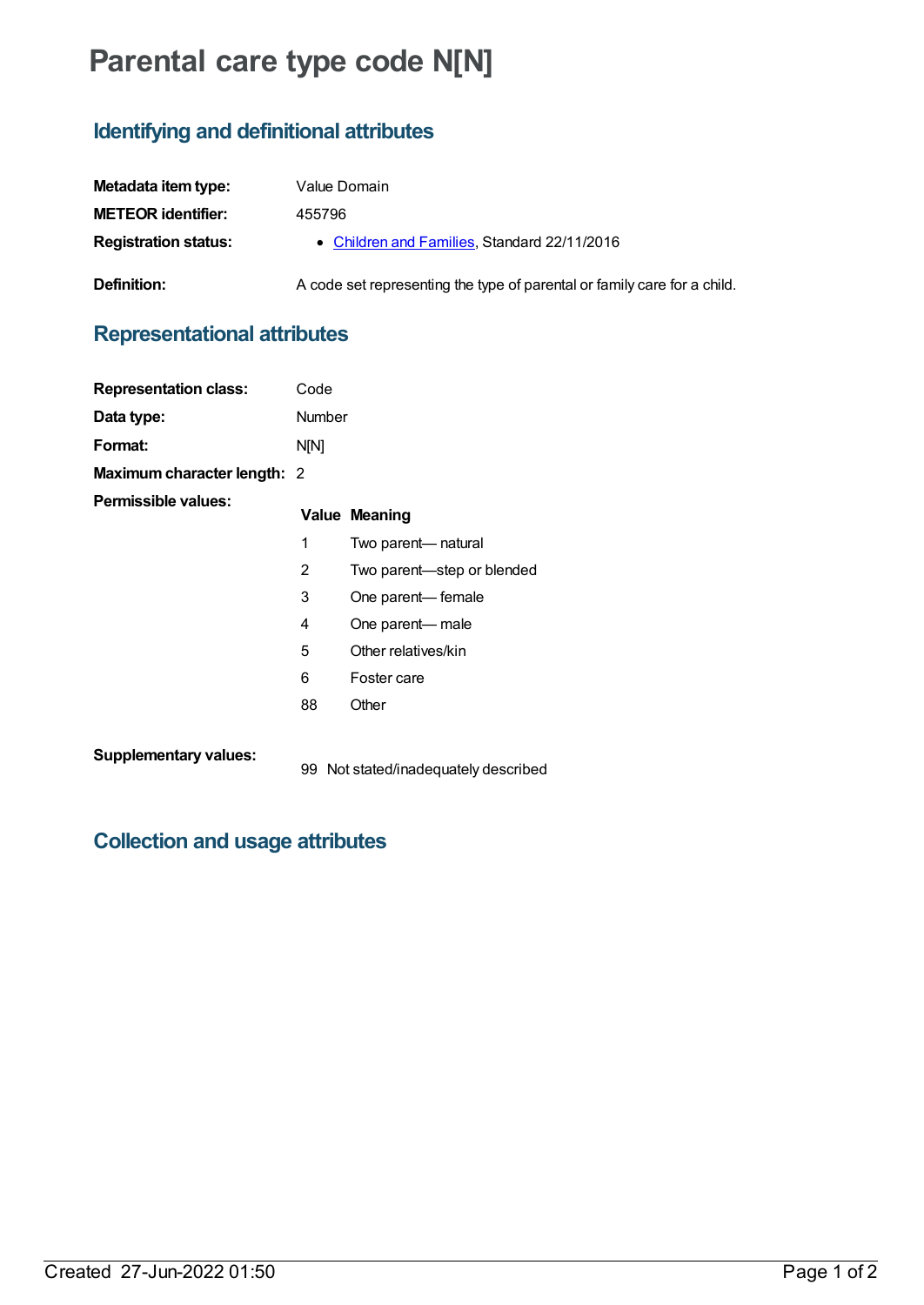# **Parental care type code N[N]**

## **Identifying and definitional attributes**

| Metadata item type:         | Value Domain                                                             |
|-----------------------------|--------------------------------------------------------------------------|
| <b>METEOR identifier:</b>   | 455796                                                                   |
| <b>Registration status:</b> | • Children and Families, Standard 22/11/2016                             |
| Definition:                 | A code set representing the type of parental or family care for a child. |

#### **Representational attributes**

| <b>Representation class:</b> | Code   |                                      |
|------------------------------|--------|--------------------------------------|
| Data type:                   | Number |                                      |
| Format:                      | N[N]   |                                      |
| Maximum character length: 2  |        |                                      |
| <b>Permissible values:</b>   |        | <b>Value Meaning</b>                 |
|                              | 1      | Two parent— natural                  |
|                              | 2      | Two parent—step or blended           |
|                              | 3      | One parent— female                   |
|                              | 4      | One parent— male                     |
|                              | 5      | Other relatives/kin                  |
|                              | 6      | Foster care                          |
|                              | 88     | Other                                |
| <b>Supplementary values:</b> |        | 99 Not stated/inadequately described |

### **Collection and usage attributes**